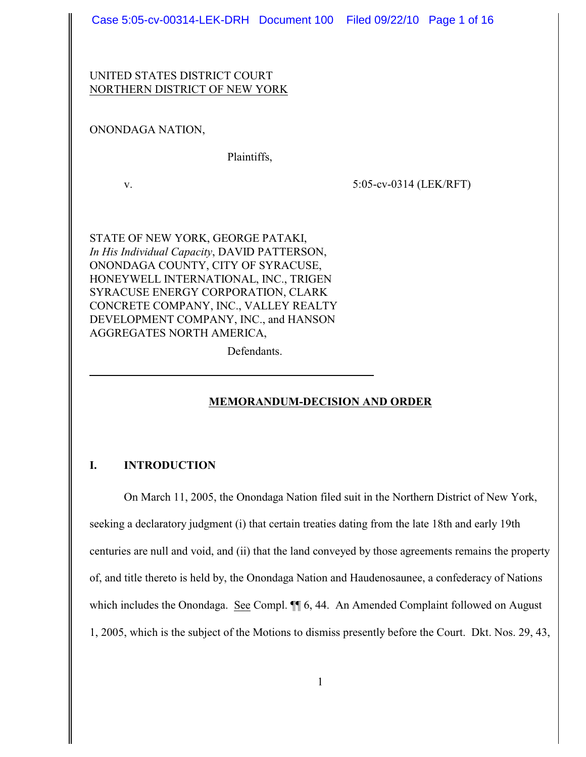Case 5:05-cv-00314-LEK-DRH Document 100 Filed 09/22/10 Page 1 of 16

## UNITED STATES DISTRICT COURT NORTHERN DISTRICT OF NEW YORK

## ONONDAGA NATION,

Plaintiffs,

v. 5:05-cv-0314 (LEK/RFT)

STATE OF NEW YORK, GEORGE PATAKI, *In His Individual Capacity*, DAVID PATTERSON, ONONDAGA COUNTY, CITY OF SYRACUSE, HONEYWELL INTERNATIONAL, INC., TRIGEN SYRACUSE ENERGY CORPORATION, CLARK CONCRETE COMPANY, INC., VALLEY REALTY DEVELOPMENT COMPANY, INC., and HANSON AGGREGATES NORTH AMERICA,

Defendants.

 $\overline{a}$ 

# **MEMORANDUM-DECISION AND ORDER**

# **I. INTRODUCTION**

On March 11, 2005, the Onondaga Nation filed suit in the Northern District of New York, seeking a declaratory judgment (i) that certain treaties dating from the late 18th and early 19th centuries are null and void, and (ii) that the land conveyed by those agreements remains the property of, and title thereto is held by, the Onondaga Nation and Haudenosaunee, a confederacy of Nations which includes the Onondaga. See Compl.  $\P\P$  6, 44. An Amended Complaint followed on August 1, 2005, which is the subject of the Motions to dismiss presently before the Court. Dkt. Nos. 29, 43,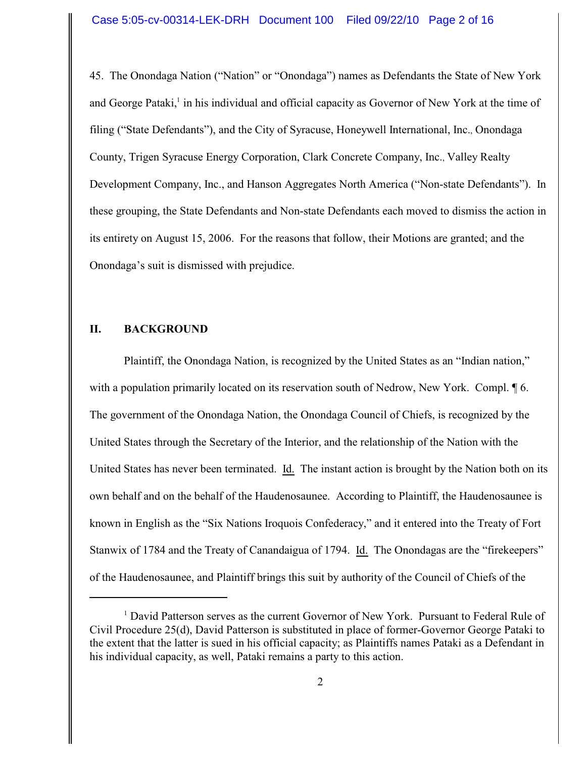45. The Onondaga Nation ("Nation" or "Onondaga") names as Defendants the State of New York and George Pataki, in his individual and official capacity as Governor of New York at the time of filing ("State Defendants"), and the City of Syracuse, Honeywell International, Inc., Onondaga County, Trigen Syracuse Energy Corporation, Clark Concrete Company, Inc., Valley Realty Development Company, Inc., and Hanson Aggregates North America ("Non-state Defendants"). In these grouping, the State Defendants and Non-state Defendants each moved to dismiss the action in its entirety on August 15, 2006. For the reasons that follow, their Motions are granted; and the Onondaga's suit is dismissed with prejudice.

### **II. BACKGROUND**

Plaintiff, the Onondaga Nation, is recognized by the United States as an "Indian nation," with a population primarily located on its reservation south of Nedrow, New York. Compl. 16. The government of the Onondaga Nation, the Onondaga Council of Chiefs, is recognized by the United States through the Secretary of the Interior, and the relationship of the Nation with the United States has never been terminated. Id. The instant action is brought by the Nation both on its own behalf and on the behalf of the Haudenosaunee. According to Plaintiff, the Haudenosaunee is known in English as the "Six Nations Iroquois Confederacy," and it entered into the Treaty of Fort Stanwix of 1784 and the Treaty of Canandaigua of 1794. Id. The Onondagas are the "firekeepers" of the Haudenosaunee, and Plaintiff brings this suit by authority of the Council of Chiefs of the

 $<sup>1</sup>$  David Patterson serves as the current Governor of New York. Pursuant to Federal Rule of</sup> Civil Procedure 25(d), David Patterson is substituted in place of former-Governor George Pataki to the extent that the latter is sued in his official capacity; as Plaintiffs names Pataki as a Defendant in his individual capacity, as well, Pataki remains a party to this action.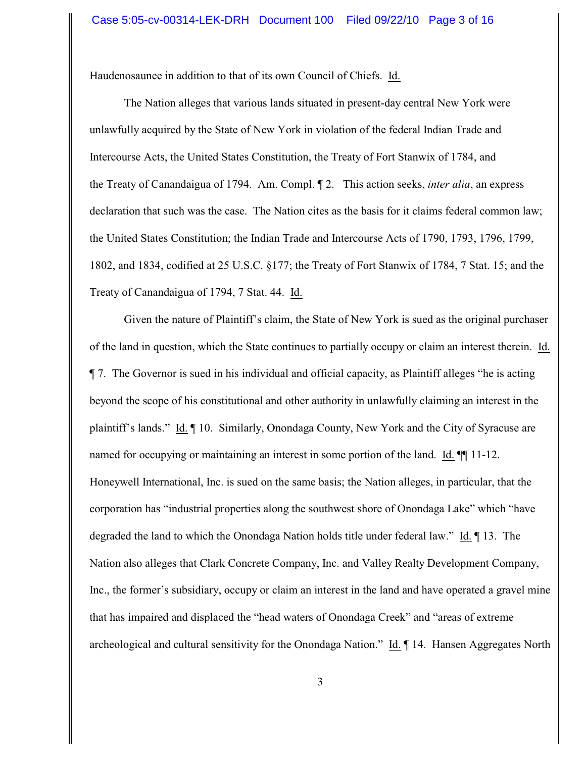Haudenosaunee in addition to that of its own Council of Chiefs. Id.

The Nation alleges that various lands situated in present-day central New York were unlawfully acquired by the State of New York in violation of the federal Indian Trade and Intercourse Acts, the United States Constitution, the Treaty of Fort Stanwix of 1784, and the Treaty of Canandaigua of 1794. Am. Compl. ¶ 2. This action seeks, *inter alia*, an express declaration that such was the case. The Nation cites as the basis for it claims federal common law; the United States Constitution; the Indian Trade and Intercourse Acts of 1790, 1793, 1796, 1799, 1802, and 1834, codified at 25 U.S.C. §177; the Treaty of Fort Stanwix of 1784, 7 Stat. 15; and the Treaty of Canandaigua of 1794, 7 Stat. 44. Id.

Given the nature of Plaintiff's claim, the State of New York is sued as the original purchaser of the land in question, which the State continues to partially occupy or claim an interest therein. Id. ¶ 7. The Governor is sued in his individual and official capacity, as Plaintiff alleges "he is acting beyond the scope of his constitutional and other authority in unlawfully claiming an interest in the plaintiff's lands." Id. ¶ 10. Similarly, Onondaga County, New York and the City of Syracuse are named for occupying or maintaining an interest in some portion of the land. Id.  $\P$  11-12. Honeywell International, Inc. is sued on the same basis; the Nation alleges, in particular, that the corporation has "industrial properties along the southwest shore of Onondaga Lake" which "have degraded the land to which the Onondaga Nation holds title under federal law." Id. ¶ 13. The Nation also alleges that Clark Concrete Company, Inc. and Valley Realty Development Company, Inc., the former's subsidiary, occupy or claim an interest in the land and have operated a gravel mine that has impaired and displaced the "head waters of Onondaga Creek" and "areas of extreme archeological and cultural sensitivity for the Onondaga Nation." Id. ¶ 14. Hansen Aggregates North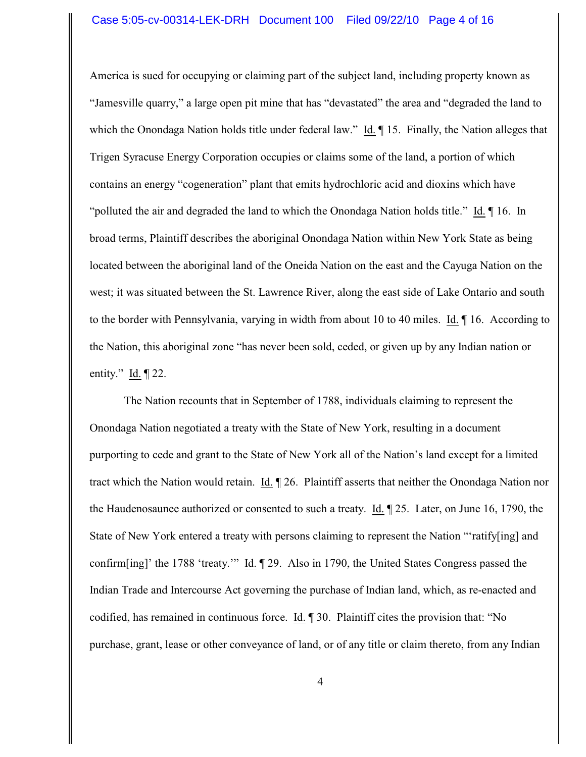America is sued for occupying or claiming part of the subject land, including property known as "Jamesville quarry," a large open pit mine that has "devastated" the area and "degraded the land to which the Onondaga Nation holds title under federal law." Id. ¶ 15. Finally, the Nation alleges that Trigen Syracuse Energy Corporation occupies or claims some of the land, a portion of which contains an energy "cogeneration" plant that emits hydrochloric acid and dioxins which have "polluted the air and degraded the land to which the Onondaga Nation holds title." Id. ¶ 16. In broad terms, Plaintiff describes the aboriginal Onondaga Nation within New York State as being located between the aboriginal land of the Oneida Nation on the east and the Cayuga Nation on the west; it was situated between the St. Lawrence River, along the east side of Lake Ontario and south to the border with Pennsylvania, varying in width from about 10 to 40 miles. Id. ¶ 16. According to the Nation, this aboriginal zone "has never been sold, ceded, or given up by any Indian nation or entity." Id. ¶ 22.

The Nation recounts that in September of 1788, individuals claiming to represent the Onondaga Nation negotiated a treaty with the State of New York, resulting in a document purporting to cede and grant to the State of New York all of the Nation's land except for a limited tract which the Nation would retain. Id. ¶ 26. Plaintiff asserts that neither the Onondaga Nation nor the Haudenosaunee authorized or consented to such a treaty. Id. ¶ 25. Later, on June 16, 1790, the State of New York entered a treaty with persons claiming to represent the Nation "'ratify[ing] and confirm[ing]' the 1788 'treaty.'" Id. ¶ 29. Also in 1790, the United States Congress passed the Indian Trade and Intercourse Act governing the purchase of Indian land, which, as re-enacted and codified, has remained in continuous force. Id. ¶ 30. Plaintiff cites the provision that: "No purchase, grant, lease or other conveyance of land, or of any title or claim thereto, from any Indian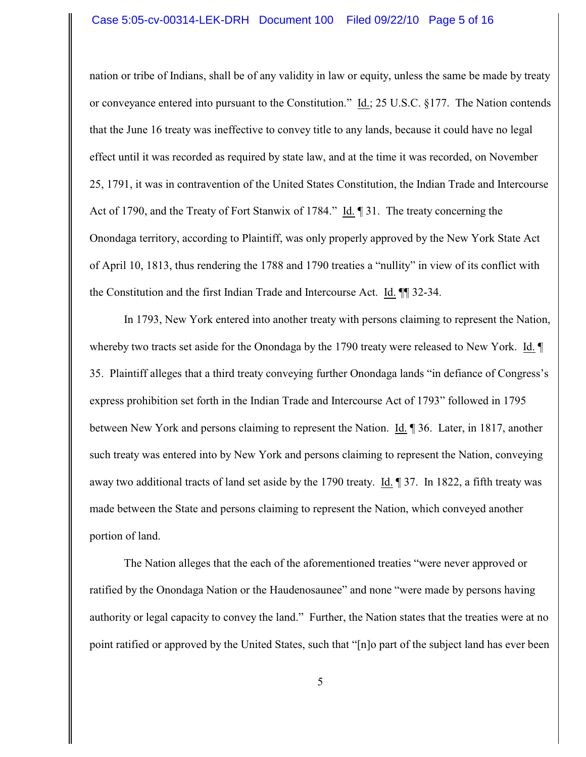nation or tribe of Indians, shall be of any validity in law or equity, unless the same be made by treaty or conveyance entered into pursuant to the Constitution." Id.; 25 U.S.C. §177. The Nation contends that the June 16 treaty was ineffective to convey title to any lands, because it could have no legal effect until it was recorded as required by state law, and at the time it was recorded, on November 25, 1791, it was in contravention of the United States Constitution, the Indian Trade and Intercourse Act of 1790, and the Treaty of Fort Stanwix of 1784." Id. ¶ 31. The treaty concerning the Onondaga territory, according to Plaintiff, was only properly approved by the New York State Act of April 10, 1813, thus rendering the 1788 and 1790 treaties a "nullity" in view of its conflict with the Constitution and the first Indian Trade and Intercourse Act. Id. ¶¶ 32-34.

In 1793, New York entered into another treaty with persons claiming to represent the Nation, whereby two tracts set aside for the Onondaga by the 1790 treaty were released to New York. Id.  $\P$ 35. Plaintiff alleges that a third treaty conveying further Onondaga lands "in defiance of Congress's express prohibition set forth in the Indian Trade and Intercourse Act of 1793" followed in 1795 between New York and persons claiming to represent the Nation. Id. ¶ 36. Later, in 1817, another such treaty was entered into by New York and persons claiming to represent the Nation, conveying away two additional tracts of land set aside by the 1790 treaty. Id. ¶ 37. In 1822, a fifth treaty was made between the State and persons claiming to represent the Nation, which conveyed another portion of land.

The Nation alleges that the each of the aforementioned treaties "were never approved or ratified by the Onondaga Nation or the Haudenosaunee" and none "were made by persons having authority or legal capacity to convey the land." Further, the Nation states that the treaties were at no point ratified or approved by the United States, such that "[n]o part of the subject land has ever been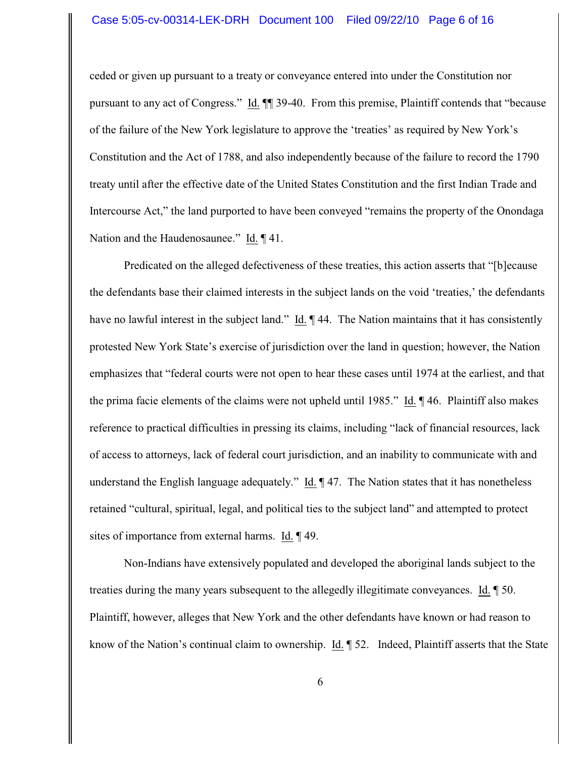ceded or given up pursuant to a treaty or conveyance entered into under the Constitution nor pursuant to any act of Congress." Id. ¶¶ 39-40. From this premise, Plaintiff contends that "because of the failure of the New York legislature to approve the 'treaties' as required by New York's Constitution and the Act of 1788, and also independently because of the failure to record the 1790 treaty until after the effective date of the United States Constitution and the first Indian Trade and Intercourse Act," the land purported to have been conveyed "remains the property of the Onondaga Nation and the Haudenosaunee." Id. ¶ 41.

Predicated on the alleged defectiveness of these treaties, this action asserts that "[b]ecause the defendants base their claimed interests in the subject lands on the void 'treaties,' the defendants have no lawful interest in the subject land." Id. ¶ 44. The Nation maintains that it has consistently protested New York State's exercise of jurisdiction over the land in question; however, the Nation emphasizes that "federal courts were not open to hear these cases until 1974 at the earliest, and that the prima facie elements of the claims were not upheld until 1985." Id. ¶ 46. Plaintiff also makes reference to practical difficulties in pressing its claims, including "lack of financial resources, lack of access to attorneys, lack of federal court jurisdiction, and an inability to communicate with and understand the English language adequately." Id. ¶ 47. The Nation states that it has nonetheless retained "cultural, spiritual, legal, and political ties to the subject land" and attempted to protect sites of importance from external harms. Id. ¶ 49.

Non-Indians have extensively populated and developed the aboriginal lands subject to the treaties during the many years subsequent to the allegedly illegitimate conveyances. Id. ¶ 50. Plaintiff, however, alleges that New York and the other defendants have known or had reason to know of the Nation's continual claim to ownership. Id. ¶ 52. Indeed, Plaintiff asserts that the State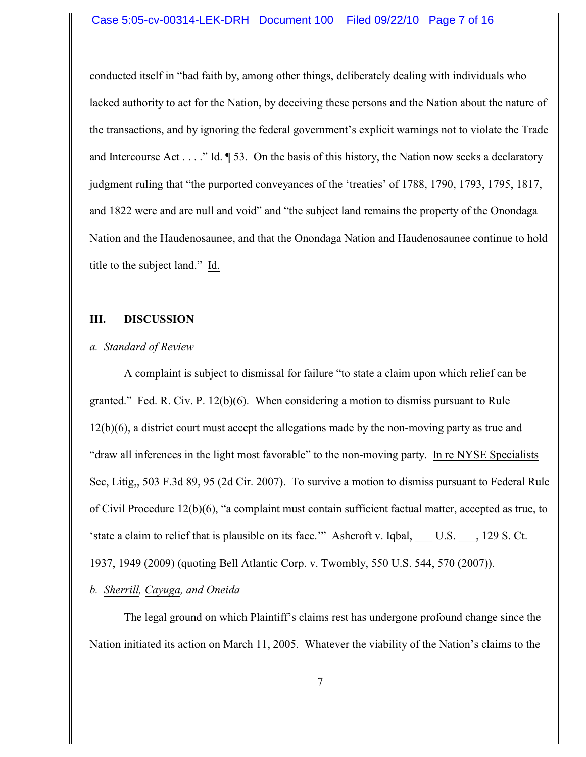#### Case 5:05-cv-00314-LEK-DRH Document 100 Filed 09/22/10 Page 7 of 16

conducted itself in "bad faith by, among other things, deliberately dealing with individuals who lacked authority to act for the Nation, by deceiving these persons and the Nation about the nature of the transactions, and by ignoring the federal government's explicit warnings not to violate the Trade and Intercourse Act . . . ." Id.  $\parallel$  53. On the basis of this history, the Nation now seeks a declaratory judgment ruling that "the purported conveyances of the 'treaties' of 1788, 1790, 1793, 1795, 1817, and 1822 were and are null and void" and "the subject land remains the property of the Onondaga Nation and the Haudenosaunee, and that the Onondaga Nation and Haudenosaunee continue to hold title to the subject land." Id.

#### **III. DISCUSSION**

#### *a. Standard of Review*

A complaint is subject to dismissal for failure "to state a claim upon which relief can be granted." Fed. R. Civ. P. 12(b)(6). When considering a motion to dismiss pursuant to Rule 12(b)(6), a district court must accept the allegations made by the non-moving party as true and "draw all inferences in the light most favorable" to the non-moving party. In re NYSE Specialists Sec, Litig,, 503 F.3d 89, 95 (2d Cir. 2007). To survive a motion to dismiss pursuant to Federal Rule of Civil Procedure 12(b)(6), "a complaint must contain sufficient factual matter, accepted as true, to 'state a claim to relief that is plausible on its face.'" Ashcroft v. Iqbal, \_\_\_ U.S. \_\_\_, 129 S. Ct. 1937, 1949 (2009) (quoting Bell Atlantic Corp. v. Twombly, 550 U.S. 544, 570 (2007)).

#### *b. Sherrill, Cayuga, and Oneida*

The legal ground on which Plaintiff's claims rest has undergone profound change since the Nation initiated its action on March 11, 2005. Whatever the viability of the Nation's claims to the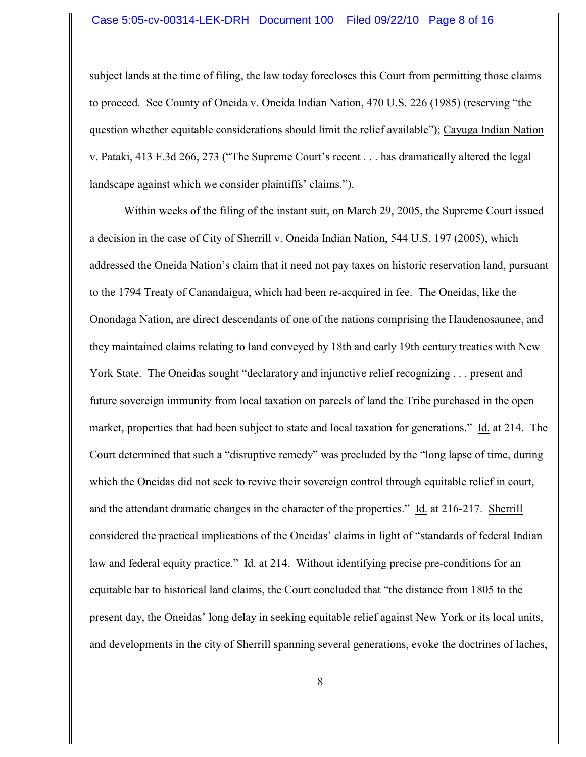subject lands at the time of filing, the law today forecloses this Court from permitting those claims to proceed. See County of Oneida v. Oneida Indian Nation, 470 U.S. 226 (1985) (reserving "the question whether equitable considerations should limit the relief available"); Cayuga Indian Nation v. Pataki, 413 F.3d 266, 273 ("The Supreme Court's recent . . . has dramatically altered the legal landscape against which we consider plaintiffs' claims.").

Within weeks of the filing of the instant suit, on March 29, 2005, the Supreme Court issued a decision in the case of City of Sherrill v. Oneida Indian Nation, 544 U.S. 197 (2005), which addressed the Oneida Nation's claim that it need not pay taxes on historic reservation land, pursuant to the 1794 Treaty of Canandaigua, which had been re-acquired in fee. The Oneidas, like the Onondaga Nation, are direct descendants of one of the nations comprising the Haudenosaunee, and they maintained claims relating to land conveyed by 18th and early 19th century treaties with New York State. The Oneidas sought "declaratory and injunctive relief recognizing . . . present and future sovereign immunity from local taxation on parcels of land the Tribe purchased in the open market, properties that had been subject to state and local taxation for generations." Id. at 214. The Court determined that such a "disruptive remedy" was precluded by the "long lapse of time, during which the Oneidas did not seek to revive their sovereign control through equitable relief in court, and the attendant dramatic changes in the character of the properties." Id. at 216-217. Sherrill considered the practical implications of the Oneidas' claims in light of "standards of federal Indian law and federal equity practice." Id. at 214. Without identifying precise pre-conditions for an equitable bar to historical land claims, the Court concluded that "the distance from 1805 to the present day, the Oneidas' long delay in seeking equitable relief against New York or its local units, and developments in the city of Sherrill spanning several generations, evoke the doctrines of laches,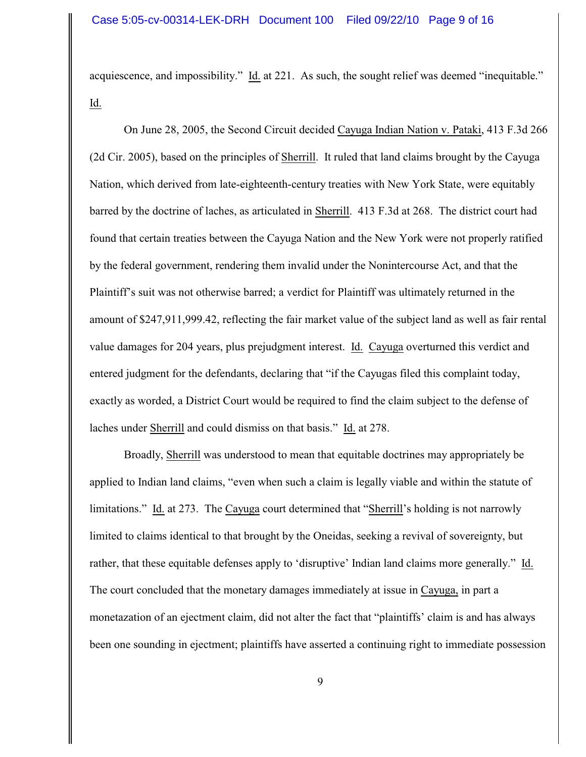acquiescence, and impossibility." Id. at 221. As such, the sought relief was deemed "inequitable." Id.

On June 28, 2005, the Second Circuit decided Cayuga Indian Nation v. Pataki, 413 F.3d 266 (2d Cir. 2005), based on the principles of Sherrill. It ruled that land claims brought by the Cayuga Nation, which derived from late-eighteenth-century treaties with New York State, were equitably barred by the doctrine of laches, as articulated in Sherrill. 413 F.3d at 268. The district court had found that certain treaties between the Cayuga Nation and the New York were not properly ratified by the federal government, rendering them invalid under the Nonintercourse Act, and that the Plaintiff's suit was not otherwise barred; a verdict for Plaintiff was ultimately returned in the amount of \$247,911,999.42, reflecting the fair market value of the subject land as well as fair rental value damages for 204 years, plus prejudgment interest. Id. Cayuga overturned this verdict and entered judgment for the defendants, declaring that "if the Cayugas filed this complaint today, exactly as worded, a District Court would be required to find the claim subject to the defense of laches under Sherrill and could dismiss on that basis." Id. at 278.

Broadly, Sherrill was understood to mean that equitable doctrines may appropriately be applied to Indian land claims, "even when such a claim is legally viable and within the statute of limitations." Id. at 273. The Cayuga court determined that "Sherrill's holding is not narrowly limited to claims identical to that brought by the Oneidas, seeking a revival of sovereignty, but rather, that these equitable defenses apply to 'disruptive' Indian land claims more generally." Id. The court concluded that the monetary damages immediately at issue in Cayuga, in part a monetazation of an ejectment claim, did not alter the fact that "plaintiffs' claim is and has always been one sounding in ejectment; plaintiffs have asserted a continuing right to immediate possession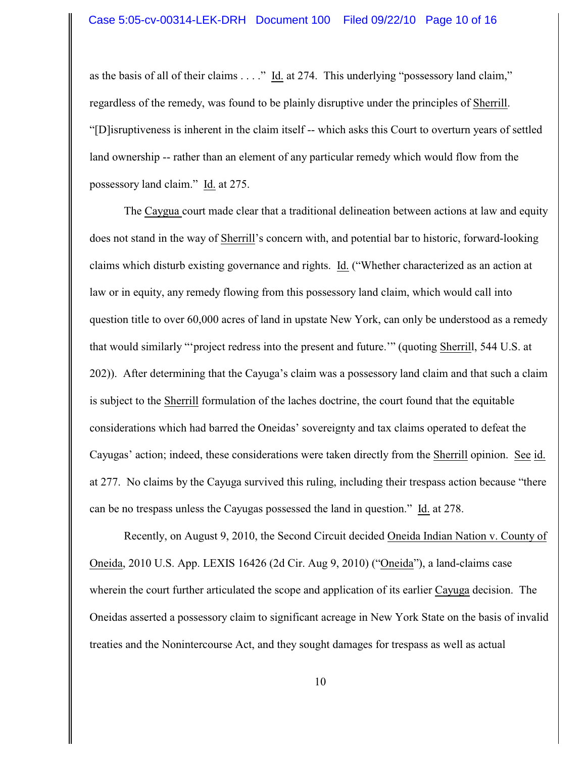as the basis of all of their claims . . . ." Id. at 274. This underlying "possessory land claim," regardless of the remedy, was found to be plainly disruptive under the principles of Sherrill. "[D]isruptiveness is inherent in the claim itself -- which asks this Court to overturn years of settled land ownership -- rather than an element of any particular remedy which would flow from the possessory land claim." Id. at 275.

The Caygua court made clear that a traditional delineation between actions at law and equity does not stand in the way of Sherrill's concern with, and potential bar to historic, forward-looking claims which disturb existing governance and rights. Id. ("Whether characterized as an action at law or in equity, any remedy flowing from this possessory land claim, which would call into question title to over 60,000 acres of land in upstate New York, can only be understood as a remedy that would similarly "'project redress into the present and future.'" (quoting Sherrill, 544 U.S. at 202)). After determining that the Cayuga's claim was a possessory land claim and that such a claim is subject to the Sherrill formulation of the laches doctrine, the court found that the equitable considerations which had barred the Oneidas' sovereignty and tax claims operated to defeat the Cayugas' action; indeed, these considerations were taken directly from the Sherrill opinion. See id. at 277. No claims by the Cayuga survived this ruling, including their trespass action because "there can be no trespass unless the Cayugas possessed the land in question." Id. at 278.

Recently, on August 9, 2010, the Second Circuit decided Oneida Indian Nation v. County of Oneida, 2010 U.S. App. LEXIS 16426 (2d Cir. Aug 9, 2010) ("Oneida"), a land-claims case wherein the court further articulated the scope and application of its earlier Cayuga decision. The Oneidas asserted a possessory claim to significant acreage in New York State on the basis of invalid treaties and the Nonintercourse Act, and they sought damages for trespass as well as actual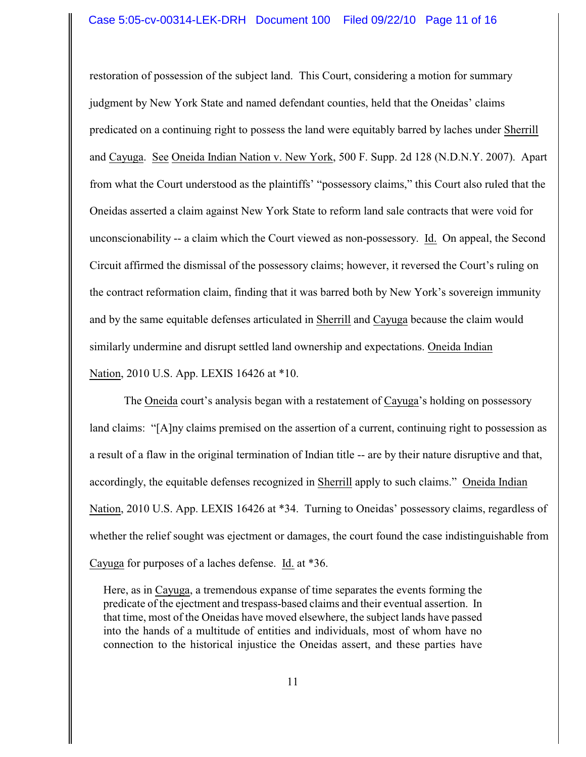#### Case 5:05-cv-00314-LEK-DRH Document 100 Filed 09/22/10 Page 11 of 16

restoration of possession of the subject land. This Court, considering a motion for summary judgment by New York State and named defendant counties, held that the Oneidas' claims predicated on a continuing right to possess the land were equitably barred by laches under Sherrill and Cayuga. See Oneida Indian Nation v. New York, 500 F. Supp. 2d 128 (N.D.N.Y. 2007). Apart from what the Court understood as the plaintiffs' "possessory claims," this Court also ruled that the Oneidas asserted a claim against New York State to reform land sale contracts that were void for unconscionability -- a claim which the Court viewed as non-possessory. Id. On appeal, the Second Circuit affirmed the dismissal of the possessory claims; however, it reversed the Court's ruling on the contract reformation claim, finding that it was barred both by New York's sovereign immunity and by the same equitable defenses articulated in Sherrill and Cayuga because the claim would similarly undermine and disrupt settled land ownership and expectations. Oneida Indian Nation, 2010 U.S. App. LEXIS 16426 at \*10.

The Oneida court's analysis began with a restatement of Cayuga's holding on possessory land claims: "[A]ny claims premised on the assertion of a current, continuing right to possession as a result of a flaw in the original termination of Indian title -- are by their nature disruptive and that, accordingly, the equitable defenses recognized in Sherrill apply to such claims." Oneida Indian Nation, 2010 U.S. App. LEXIS 16426 at \*34. Turning to Oneidas' possessory claims, regardless of whether the relief sought was ejectment or damages, the court found the case indistinguishable from Cayuga for purposes of a laches defense. Id. at \*36.

Here, as in Cayuga, a tremendous expanse of time separates the events forming the predicate of the ejectment and trespass-based claims and their eventual assertion. In that time, most of the Oneidas have moved elsewhere, the subject lands have passed into the hands of a multitude of entities and individuals, most of whom have no connection to the historical injustice the Oneidas assert, and these parties have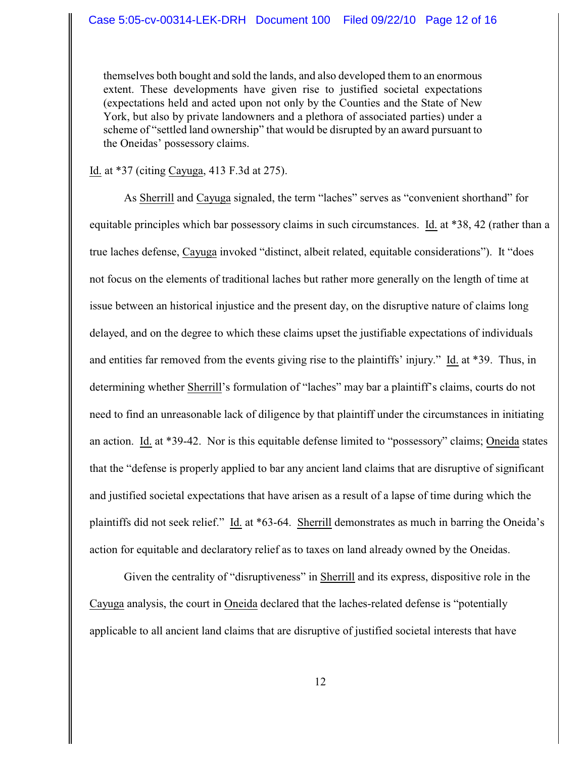themselves both bought and sold the lands, and also developed them to an enormous extent. These developments have given rise to justified societal expectations (expectations held and acted upon not only by the Counties and the State of New York, but also by private landowners and a plethora of associated parties) under a scheme of "settled land ownership" that would be disrupted by an award pursuant to the Oneidas' possessory claims.

Id. at \*37 (citing Cayuga, 413 F.3d at 275).

As Sherrill and Cayuga signaled, the term "laches" serves as "convenient shorthand" for equitable principles which bar possessory claims in such circumstances. Id. at \*38, 42 (rather than a true laches defense, Cayuga invoked "distinct, albeit related, equitable considerations"). It "does not focus on the elements of traditional laches but rather more generally on the length of time at issue between an historical injustice and the present day, on the disruptive nature of claims long delayed, and on the degree to which these claims upset the justifiable expectations of individuals and entities far removed from the events giving rise to the plaintiffs' injury." Id. at \*39. Thus, in determining whether Sherrill's formulation of "laches" may bar a plaintiff's claims, courts do not need to find an unreasonable lack of diligence by that plaintiff under the circumstances in initiating an action. Id. at \*39-42. Nor is this equitable defense limited to "possessory" claims; Oneida states that the "defense is properly applied to bar any ancient land claims that are disruptive of significant and justified societal expectations that have arisen as a result of a lapse of time during which the plaintiffs did not seek relief." Id. at \*63-64. Sherrill demonstrates as much in barring the Oneida's action for equitable and declaratory relief as to taxes on land already owned by the Oneidas.

Given the centrality of "disruptiveness" in Sherrill and its express, dispositive role in the Cayuga analysis, the court in Oneida declared that the laches-related defense is "potentially applicable to all ancient land claims that are disruptive of justified societal interests that have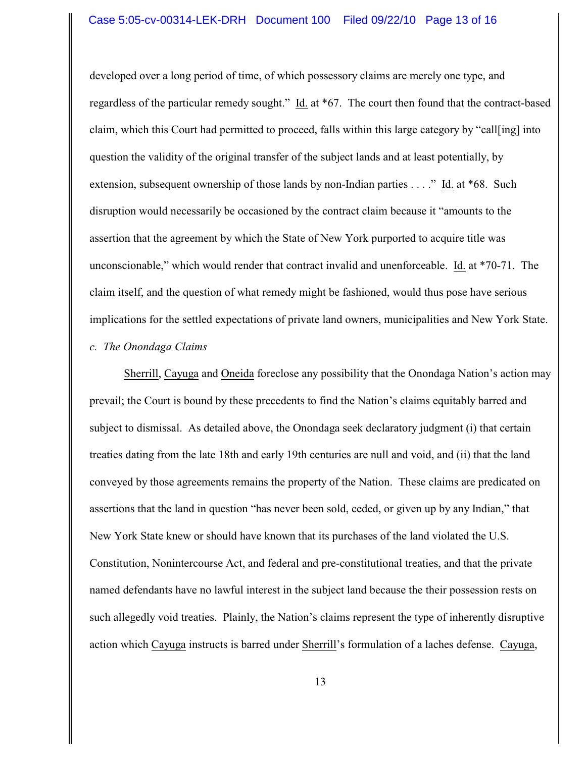#### Case 5:05-cv-00314-LEK-DRH Document 100 Filed 09/22/10 Page 13 of 16

developed over a long period of time, of which possessory claims are merely one type, and regardless of the particular remedy sought." Id. at \*67. The court then found that the contract-based claim, which this Court had permitted to proceed, falls within this large category by "call[ing] into question the validity of the original transfer of the subject lands and at least potentially, by extension, subsequent ownership of those lands by non-Indian parties . . . ." Id. at \*68. Such disruption would necessarily be occasioned by the contract claim because it "amounts to the assertion that the agreement by which the State of New York purported to acquire title was unconscionable," which would render that contract invalid and unenforceable. Id. at \*70-71. The claim itself, and the question of what remedy might be fashioned, would thus pose have serious implications for the settled expectations of private land owners, municipalities and New York State.

## *c. The Onondaga Claims*

Sherrill, Cayuga and Oneida foreclose any possibility that the Onondaga Nation's action may prevail; the Court is bound by these precedents to find the Nation's claims equitably barred and subject to dismissal. As detailed above, the Onondaga seek declaratory judgment (i) that certain treaties dating from the late 18th and early 19th centuries are null and void, and (ii) that the land conveyed by those agreements remains the property of the Nation. These claims are predicated on assertions that the land in question "has never been sold, ceded, or given up by any Indian," that New York State knew or should have known that its purchases of the land violated the U.S. Constitution, Nonintercourse Act, and federal and pre-constitutional treaties, and that the private named defendants have no lawful interest in the subject land because the their possession rests on such allegedly void treaties. Plainly, the Nation's claims represent the type of inherently disruptive action which Cayuga instructs is barred under Sherrill's formulation of a laches defense. Cayuga,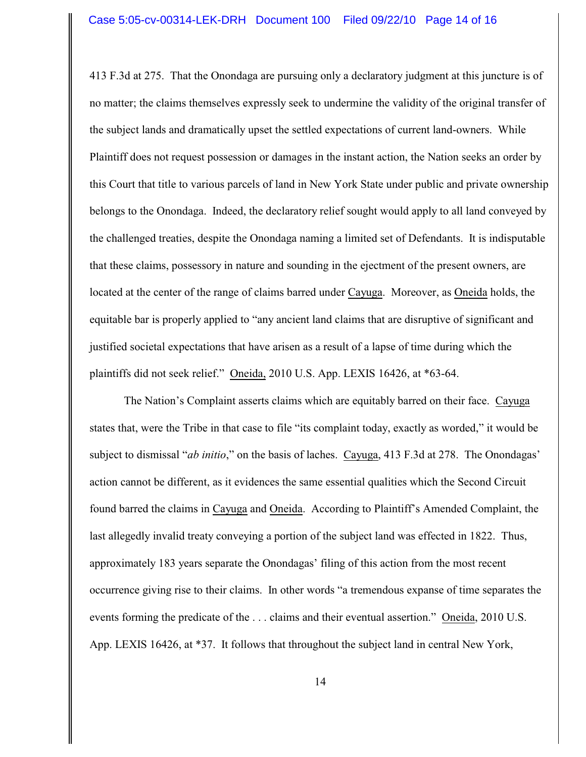413 F.3d at 275. That the Onondaga are pursuing only a declaratory judgment at this juncture is of no matter; the claims themselves expressly seek to undermine the validity of the original transfer of the subject lands and dramatically upset the settled expectations of current land-owners. While Plaintiff does not request possession or damages in the instant action, the Nation seeks an order by this Court that title to various parcels of land in New York State under public and private ownership belongs to the Onondaga. Indeed, the declaratory relief sought would apply to all land conveyed by the challenged treaties, despite the Onondaga naming a limited set of Defendants. It is indisputable that these claims, possessory in nature and sounding in the ejectment of the present owners, are located at the center of the range of claims barred under Cayuga. Moreover, as Oneida holds, the equitable bar is properly applied to "any ancient land claims that are disruptive of significant and justified societal expectations that have arisen as a result of a lapse of time during which the plaintiffs did not seek relief." Oneida, 2010 U.S. App. LEXIS 16426, at \*63-64.

The Nation's Complaint asserts claims which are equitably barred on their face. Cayuga states that, were the Tribe in that case to file "its complaint today, exactly as worded," it would be subject to dismissal "*ab initio*," on the basis of laches.Cayuga, 413 F.3d at 278. The Onondagas' action cannot be different, as it evidences the same essential qualities which the Second Circuit found barred the claims in Cayuga and Oneida.According to Plaintiff's Amended Complaint, the last allegedly invalid treaty conveying a portion of the subject land was effected in 1822. Thus, approximately 183 years separate the Onondagas' filing of this action from the most recent occurrence giving rise to their claims. In other words "a tremendous expanse of time separates the events forming the predicate of the . . . claims and their eventual assertion." Oneida, 2010 U.S. App. LEXIS 16426, at \*37. It follows that throughout the subject land in central New York,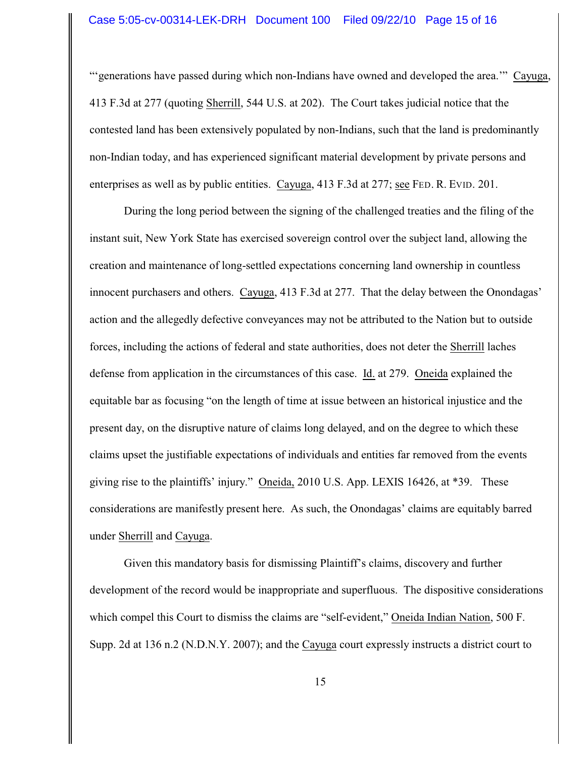"'generations have passed during which non-Indians have owned and developed the area.'" Cayuga, 413 F.3d at 277 (quoting Sherrill, 544 U.S. at 202). The Court takes judicial notice that the contested land has been extensively populated by non-Indians, such that the land is predominantly non-Indian today, and has experienced significant material development by private persons and enterprises as well as by public entities. Cayuga, 413 F.3d at 277; see FED. R. EVID. 201.

During the long period between the signing of the challenged treaties and the filing of the instant suit, New York State has exercised sovereign control over the subject land, allowing the creation and maintenance of long-settled expectations concerning land ownership in countless innocent purchasers and others. Cayuga, 413 F.3d at 277. That the delay between the Onondagas' action and the allegedly defective conveyances may not be attributed to the Nation but to outside forces, including the actions of federal and state authorities, does not deter the Sherrill laches defense from application in the circumstances of this case. Id. at 279. Oneida explained the equitable bar as focusing "on the length of time at issue between an historical injustice and the present day, on the disruptive nature of claims long delayed, and on the degree to which these claims upset the justifiable expectations of individuals and entities far removed from the events giving rise to the plaintiffs' injury." Oneida, 2010 U.S. App. LEXIS 16426, at \*39. These considerations are manifestly present here. As such, the Onondagas' claims are equitably barred under Sherrill and Cayuga.

Given this mandatory basis for dismissing Plaintiff's claims, discovery and further development of the record would be inappropriate and superfluous. The dispositive considerations which compel this Court to dismiss the claims are "self-evident," Oneida Indian Nation, 500 F. Supp. 2d at 136 n.2 (N.D.N.Y. 2007); and the Cayuga court expressly instructs a district court to